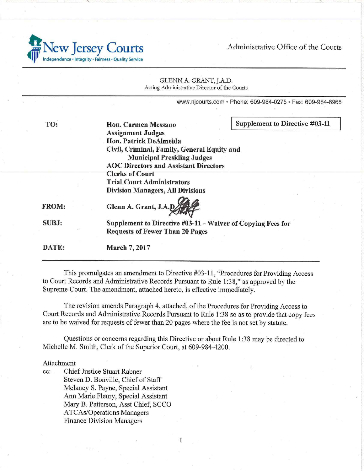Administrative Office of the Courts



|              | GLENN A. GRANT, J.A.D.<br>Acting Administrative Director of the Courts                                                                                     |                                                            |
|--------------|------------------------------------------------------------------------------------------------------------------------------------------------------------|------------------------------------------------------------|
|              |                                                                                                                                                            | www.njcourts.com • Phone: 609-984-0275 • Fax: 609-984-6968 |
| TO:          | Hon. Carmen Messano<br><b>Assignment Judges</b>                                                                                                            | Supplement to Directive #03-11                             |
|              | Hon. Patrick DeAlmeida<br>Civil, Criminal, Family, General Equity and<br><b>Municipal Presiding Judges</b><br><b>AOC Directors and Assistant Directors</b> |                                                            |
|              | <b>Clerks of Court</b><br><b>Trial Court Administrators</b><br><b>Division Managers, All Divisions</b>                                                     |                                                            |
| <b>FROM:</b> | Glenn A. Grant, J.A.D                                                                                                                                      |                                                            |
| <b>SUBJ:</b> | Supplement to Directive #03-11 - Waiver of Copying Fees for<br><b>Requests of Fewer Than 20 Pages</b>                                                      |                                                            |
| DATE:        | March 7, 2017                                                                                                                                              |                                                            |

This promulgates an amendment to Directive #03-11, "Procedures for Providing Access to Court Records and Administrative Records Pursuant to Rule 1 :38," as approved by the Supreme Court. The amendment, attached hereto, is effective immediately.

The revision amends Paragraph 4, attached, of the Procedures for Providing Access to Court Records and Administrative Records Pursuant to Rule 1 :38 so as to provide that copy fees are to be waived for requests of fewer than 20 pages where the fee is not set by statute.

1

Questions or concerns regarding this Directive or about Rule 1 :38 may be directed to Michelle M. Smith, Clerk of the Superior Court, at 609-984-4200.

## Attachment

cc: Chief Justice Stuart Rabner Steven D. Bonville, Chief of Staff Melaney S. Payne, Special Assistant Ann Marie Fleury, Special Assistant Mary B. Patterson, Asst Chief, SCCO ATCAs/Operations Managers Finance Division Managers